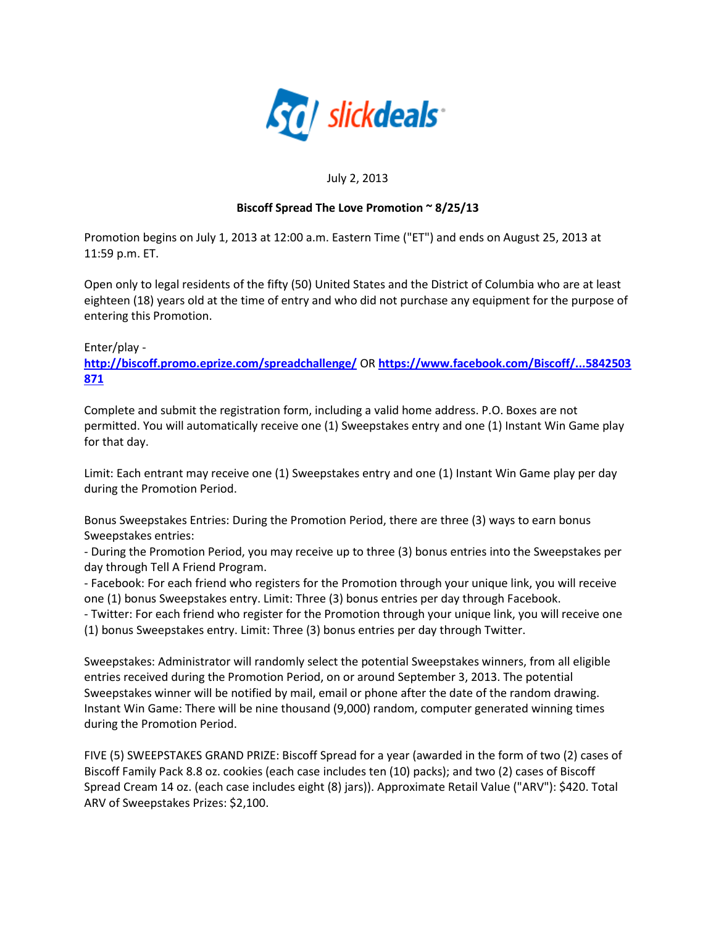

## July 2, 2013

## **Biscoff Spread The Love Promotion ~ 8/25/13**

Promotion begins on July 1, 2013 at 12:00 a.m. Eastern Time ("ET") and ends on August 25, 2013 at 11:59 p.m. ET.

Open only to legal residents of the fifty (50) United States and the District of Columbia who are at least eighteen (18) years old at the time of entry and who did not purchase any equipment for the purpose of entering this Promotion.

Enter/play -

**[http://biscoff.promo.eprize.com/spreadchallenge/](http://slickdeals.net/?sdtid=6126548&sdop=1&sdpid=60453726&sdfid=25&lno=1&trd=http+biscoff+promo+e+wbr+prize+c&u2=http%3A%2F%2Fbiscoff.promo.eprize.com%2Fspreadchallenge%2F)** OR **[https://www.facebook.com/Biscoff/...5842503](http://slickdeals.net/?sdtid=6126548&sdop=1&sdpid=60453726&sdfid=25&lno=2&trd=https+www+facebook+co+wbr+m+Bisc&u2=https%3A%2F%2Fwww.facebook.com%2FBiscoff%2Fapp_376135842503871) [871](http://slickdeals.net/?sdtid=6126548&sdop=1&sdpid=60453726&sdfid=25&lno=2&trd=https+www+facebook+co+wbr+m+Bisc&u2=https%3A%2F%2Fwww.facebook.com%2FBiscoff%2Fapp_376135842503871)**

Complete and submit the registration form, including a valid home address. P.O. Boxes are not permitted. You will automatically receive one (1) Sweepstakes entry and one (1) Instant Win Game play for that day.

Limit: Each entrant may receive one (1) Sweepstakes entry and one (1) Instant Win Game play per day during the Promotion Period.

Bonus Sweepstakes Entries: During the Promotion Period, there are three (3) ways to earn bonus Sweepstakes entries:

- During the Promotion Period, you may receive up to three (3) bonus entries into the Sweepstakes per day through Tell A Friend Program.

- Facebook: For each friend who registers for the Promotion through your unique link, you will receive one (1) bonus Sweepstakes entry. Limit: Three (3) bonus entries per day through Facebook.

- Twitter: For each friend who register for the Promotion through your unique link, you will receive one (1) bonus Sweepstakes entry. Limit: Three (3) bonus entries per day through Twitter.

Sweepstakes: Administrator will randomly select the potential Sweepstakes winners, from all eligible entries received during the Promotion Period, on or around September 3, 2013. The potential Sweepstakes winner will be notified by mail, email or phone after the date of the random drawing. Instant Win Game: There will be nine thousand (9,000) random, computer generated winning times during the Promotion Period.

FIVE (5) SWEEPSTAKES GRAND PRIZE: Biscoff Spread for a year (awarded in the form of two (2) cases of Biscoff Family Pack 8.8 oz. cookies (each case includes ten (10) packs); and two (2) cases of Biscoff Spread Cream 14 oz. (each case includes eight (8) jars)). Approximate Retail Value ("ARV"): \$420. Total ARV of Sweepstakes Prizes: \$2,100.